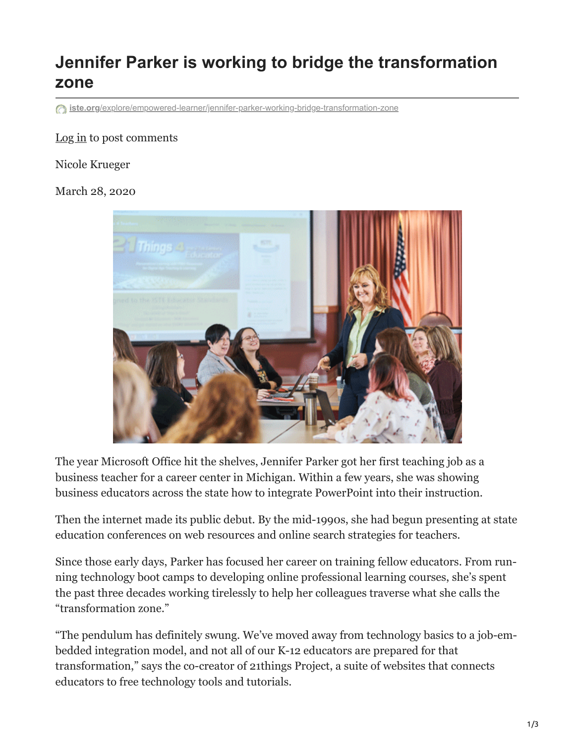## **Jennifer Parker is working to bridge the transformation zone**

**iste.org**[/explore/empowered-learner/jennifer-parker-working-bridge-transformation-zone](https://www.iste.org/explore/empowered-learner/jennifer-parker-working-bridge-transformation-zone)

## [Log in](https://www.iste.org/user/login?destination=/explore/empowered-learner/jennifer-parker-working-bridge-transformation-zone%23comment-form) to post comments

## Nicole Krueger

## March 28, 2020



The year Microsoft Office hit the shelves, Jennifer Parker got her first teaching job as a business teacher for a career center in Michigan. Within a few years, she was showing business educators across the state how to integrate Power Point into their instruction.

Then the internet made its public debut. By the mid-1990s, she had begun presenting at state education conferences on web resources and online search strategies for teachers.

Since those early days, Parker has focused her career on training fellow educators. From run ning technology boot camps to developing online professional learning courses, she's spent the past three decades working tirelessly to help her colleagues traverse what she calls the "transformation zone."

"The pendulum has definitely swung. We've moved away from technology basics to a job-em bedded integration model, and not all of our K-12 educators are prepared for that transformation," says the co-creator of 21things Project, a suite of websites that connects educators to free technology tools and tutorials.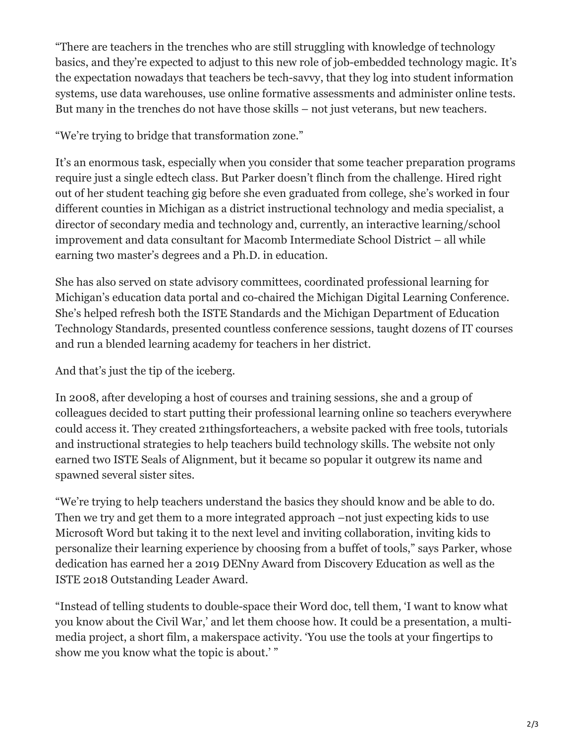"There are teachers in the trenches who are still struggling with knowledge of technology basics, and they're expected to adjust to this new role of job-embedded technology magic. It's the expectation nowadays that teachers be tech-savvy, that they log into student information systems, use data warehouses, use online formative assessments and administer online tests. But many in the trenches do not have those skills – not just veterans, but new teachers.

"We're trying to bridge that transformation zone."

It's an enormous task, especially when you consider that some teacher preparation programs require just a single edtech class. But Parker doesn't flinch from the challenge. Hired right out of her student teaching gig before she even graduated from college, she's worked in four different counties in Michigan as a district instructional technology and media specialist, a director of secondary media and technology and, currently, an interactive learning/school improvement and data consultant for Macomb Intermediate School District – all while earning two master's degrees and a Ph.D. in education.

She has also served on state advisory committees, coordinated professional learning for Michigan's education data portal and co-chaired the Michigan Digital Learning Conference. She's helped refresh both the ISTE Standards and the Michigan Department of Education Technology Standards, presented countless conference sessions, taught dozens of IT courses and run a blended learning academy for teachers in her district.

And that's just the tip of the iceberg.

In 2008, after developing a host of courses and training sessions, she and a group of colleagues decided to start putting their professional learning online so teachers everywhere could access it. They created 21thingsforteachers, a website packed with free tools, tutorials and instructional strategies to help teachers build technology skills. The website not only earned two ISTE Seals of Alignment, but it became so popular it outgrew its name and spawned several sister sites.

"We're trying to help teachers understand the basics they should know and be able to do. Then we try and get them to a more integrated approach –not just expecting kids to use Microsoft Word but taking it to the next level and inviting collaboration, inviting kids to personalize their learning experience by choosing from a buffet of tools," says Parker, whose dedication has earned her a 2019 DENny Award from Discovery Education as well as the ISTE 2018 Outstanding Leader Award.

"Instead of telling students to double-space their Word doc, tell them, 'I want to know what you know about the Civil War,' and let them choose how. It could be a presentation, a multi media project, a short film, a makerspace activity. 'You use the tools at your fingertips to show me you know what the topic is about.' "